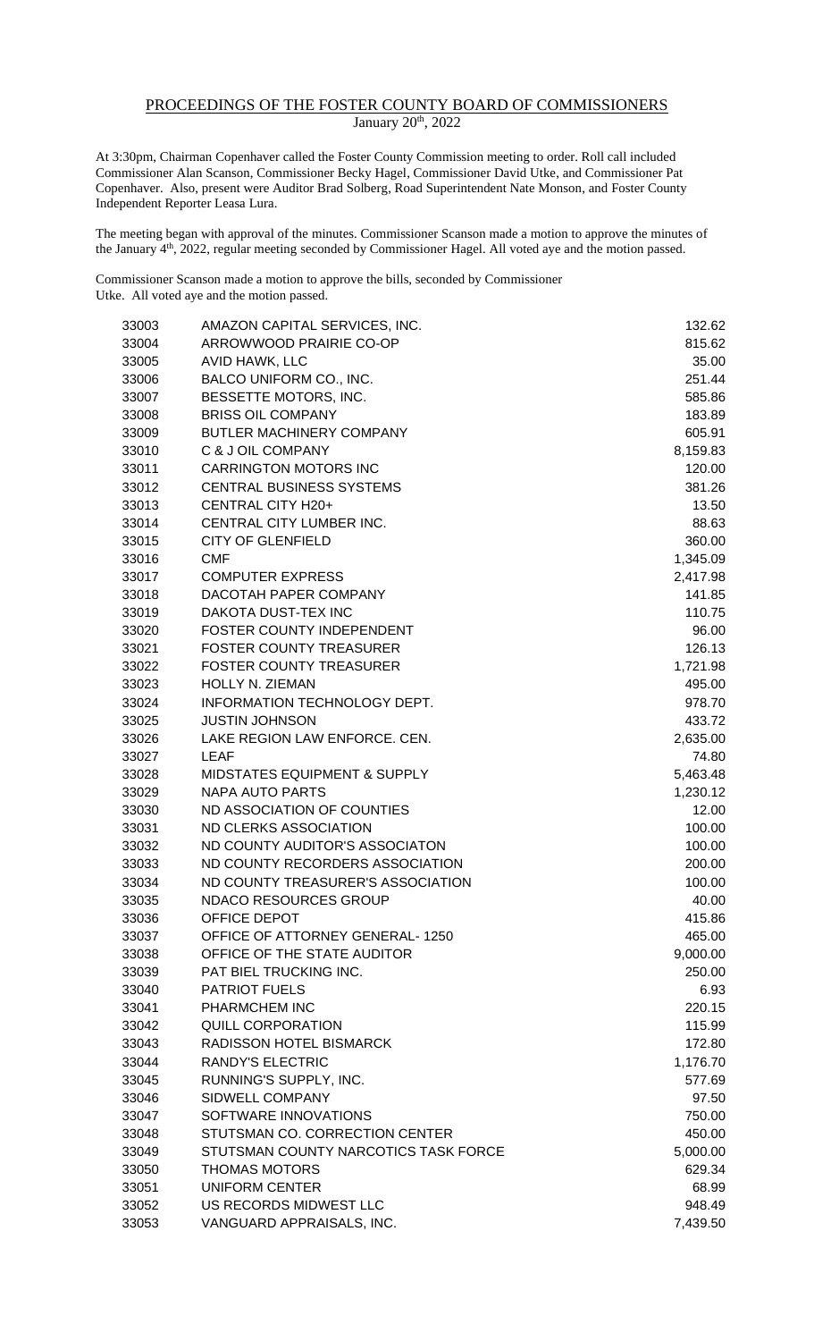## PROCEEDINGS OF THE FOSTER COUNTY BOARD OF COMMISSIONERS January 20<sup>th</sup>, 2022

At 3:30pm, Chairman Copenhaver called the Foster County Commission meeting to order. Roll call included Commissioner Alan Scanson, Commissioner Becky Hagel, Commissioner David Utke, and Commissioner Pat Copenhaver. Also, present were Auditor Brad Solberg, Road Superintendent Nate Monson, and Foster County Independent Reporter Leasa Lura.

The meeting began with approval of the minutes. Commissioner Scanson made a motion to approve the minutes of the January 4<sup>th</sup>, 2022, regular meeting seconded by Commissioner Hagel. All voted aye and the motion passed.

Commissioner Scanson made a motion to approve the bills, seconded by Commissioner Utke. All voted aye and the motion passed.

| 33003 | AMAZON CAPITAL SERVICES, INC.           | 132.62   |
|-------|-----------------------------------------|----------|
| 33004 | ARROWWOOD PRAIRIE CO-OP                 | 815.62   |
| 33005 | AVID HAWK, LLC                          | 35.00    |
| 33006 | BALCO UNIFORM CO., INC.                 | 251.44   |
| 33007 | BESSETTE MOTORS, INC.                   | 585.86   |
| 33008 | <b>BRISS OIL COMPANY</b>                | 183.89   |
| 33009 | BUTLER MACHINERY COMPANY                | 605.91   |
| 33010 | C & J OIL COMPANY                       | 8,159.83 |
| 33011 | <b>CARRINGTON MOTORS INC</b>            | 120.00   |
| 33012 | CENTRAL BUSINESS SYSTEMS                | 381.26   |
| 33013 | CENTRAL CITY H20+                       | 13.50    |
| 33014 | CENTRAL CITY LUMBER INC.                | 88.63    |
| 33015 | <b>CITY OF GLENFIELD</b>                | 360.00   |
| 33016 | <b>CMF</b>                              | 1,345.09 |
| 33017 | <b>COMPUTER EXPRESS</b>                 | 2,417.98 |
| 33018 | DACOTAH PAPER COMPANY                   | 141.85   |
| 33019 | DAKOTA DUST-TEX INC                     | 110.75   |
| 33020 | FOSTER COUNTY INDEPENDENT               | 96.00    |
| 33021 | <b>FOSTER COUNTY TREASURER</b>          | 126.13   |
| 33022 | <b>FOSTER COUNTY TREASURER</b>          | 1,721.98 |
| 33023 | HOLLY N. ZIEMAN                         | 495.00   |
| 33024 | INFORMATION TECHNOLOGY DEPT.            | 978.70   |
| 33025 | <b>JUSTIN JOHNSON</b>                   | 433.72   |
| 33026 | LAKE REGION LAW ENFORCE. CEN.           | 2,635.00 |
| 33027 | <b>LEAF</b>                             | 74.80    |
| 33028 | <b>MIDSTATES EQUIPMENT &amp; SUPPLY</b> | 5,463.48 |
| 33029 | <b>NAPA AUTO PARTS</b>                  | 1,230.12 |
| 33030 | ND ASSOCIATION OF COUNTIES              | 12.00    |
| 33031 | ND CLERKS ASSOCIATION                   | 100.00   |
| 33032 | ND COUNTY AUDITOR'S ASSOCIATON          | 100.00   |
| 33033 | ND COUNTY RECORDERS ASSOCIATION         | 200.00   |
| 33034 | ND COUNTY TREASURER'S ASSOCIATION       | 100.00   |
| 33035 | <b>NDACO RESOURCES GROUP</b>            | 40.00    |
| 33036 | OFFICE DEPOT                            | 415.86   |
| 33037 | <b>OFFICE OF ATTORNEY GENERAL-1250</b>  | 465.00   |
| 33038 | OFFICE OF THE STATE AUDITOR             | 9,000.00 |
| 33039 | PAT BIEL TRUCKING INC.                  | 250.00   |
| 33040 | <b>PATRIOT FUELS</b>                    | 6.93     |
| 33041 | PHARMCHEM INC                           | 220.15   |
| 33042 | <b>QUILL CORPORATION</b>                | 115.99   |
| 33043 | RADISSON HOTEL BISMARCK                 | 172.80   |
| 33044 | <b>RANDY'S ELECTRIC</b>                 | 1,176.70 |
| 33045 | RUNNING'S SUPPLY, INC.                  | 577.69   |
| 33046 | SIDWELL COMPANY                         | 97.50    |
| 33047 | SOFTWARE INNOVATIONS                    | 750.00   |
| 33048 | STUTSMAN CO. CORRECTION CENTER          | 450.00   |
| 33049 | STUTSMAN COUNTY NARCOTICS TASK FORCE    | 5,000.00 |
| 33050 | <b>THOMAS MOTORS</b>                    | 629.34   |
| 33051 | <b>UNIFORM CENTER</b>                   | 68.99    |
| 33052 | US RECORDS MIDWEST LLC                  | 948.49   |
| 33053 | VANGUARD APPRAISALS, INC.               | 7,439.50 |